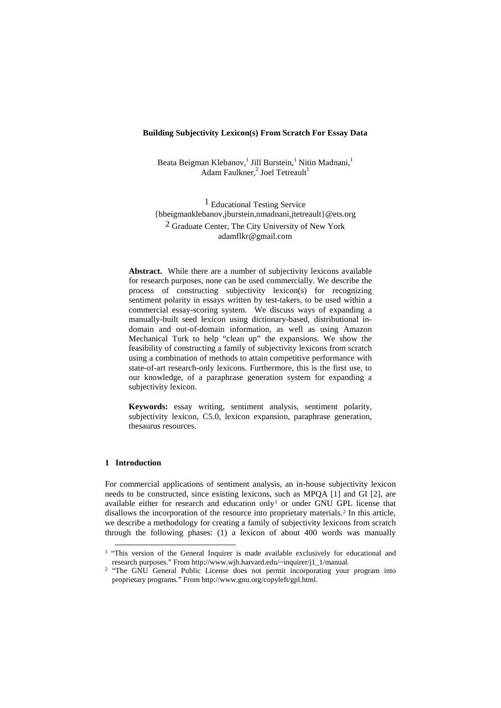# **Building Subjectivity Lexicon(s) From Scratch For Essay Data**

Beata Beigman Klebanov,<sup>1</sup> Jill Burstein,<sup>1</sup> Nitin Madnani,<sup>1</sup> Adam Faulkner, $^{2}$  Joel Tetreault<sup>1</sup>

1 Educational Testing Service {bbeigmanklebanov,jburstein,nmadnani,jtetreault}@ets.org  $2$  Graduate Center, The City University of New York adamflkr@gmail.com

**Abstract.** While there are a number of subjectivity lexicons available for research purposes, none can be used commercially. We describe the process of constructing subjectivity lexicon(s) for recognizing sentiment polarity in essays written by test-takers, to be used within a commercial essay-scoring system. We discuss ways of expanding a manually-built seed lexicon using dictionary-based, distributional indomain and out-of-domain information, as well as using Amazon Mechanical Turk to help "clean up" the expansions. We show the feasibility of constructing a family of subjectivity lexicons from scratch using a combination of methods to attain competitive performance with state-of-art research-only lexicons. Furthermore, this is the first use, to our knowledge, of a paraphrase generation system for expanding a subjectivity lexicon.

**Keywords:** essay writing, sentiment analysis, sentiment polarity, subjectivity lexicon, C5.0, lexicon expansion, paraphrase generation, thesaurus resources.

# **1 Introduction**

For commercial applications of sentiment analysis, an in-house subjectivity lexicon needs to be constructed, since existing lexicons, such as MPQA [1] and GI [2], are available either for research and education only<sup>[1](#page-0-0)</sup> or under GNU GPL license that disallows the incorporation of the resource into proprietary materials.<sup>[2](#page-0-1)</sup> In this article, we describe a methodology for creating a family of subjectivity lexicons from scratch through the following phases: (1) a lexicon of about 400 words was manually

<span id="page-0-0"></span><sup>&</sup>lt;sup>1</sup> "This version of the General Inquirer is made available exclusively for educational and research purposes." From http://www.wjh.harvard.edu/~inquirer/j1\_1/manual.

<span id="page-0-1"></span><sup>&</sup>lt;sup>2</sup> "The GNU General Public License does not permit incorporating your program into proprietary programs." From http://www.gnu.org/copyleft/gpl.html.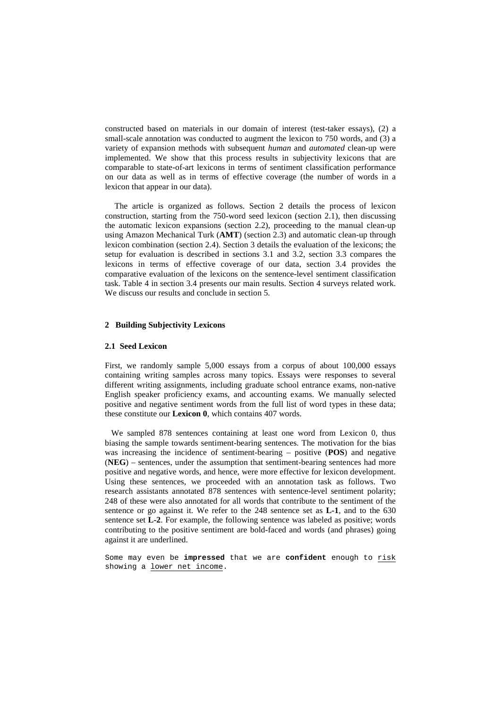constructed based on materials in our domain of interest (test-taker essays), (2) a small-scale annotation was conducted to augment the lexicon to 750 words, and (3) a variety of expansion methods with subsequent *human* and *automated* clean-up were implemented. We show that this process results in subjectivity lexicons that are comparable to state-of-art lexicons in terms of sentiment classification performance on our data as well as in terms of effective coverage (the number of words in a lexicon that appear in our data).

The article is organized as follows. Section 2 details the process of lexicon construction, starting from the 750-word seed lexicon (section 2.1), then discussing the automatic lexicon expansions (section 2.2), proceeding to the manual clean-up using Amazon Mechanical Turk (**AMT**) (section 2.3) and automatic clean-up through lexicon combination (section 2.4). Section 3 details the evaluation of the lexicons; the setup for evaluation is described in sections 3.1 and 3.2, section 3.3 compares the lexicons in terms of effective coverage of our data, section 3.4 provides the comparative evaluation of the lexicons on the sentence-level sentiment classification task. Table 4 in section 3.4 presents our main results. Section 4 surveys related work. We discuss our results and conclude in section 5.

# **2 Building Subjectivity Lexicons**

### **2.1 Seed Lexicon**

First, we randomly sample 5,000 essays from a corpus of about 100,000 essays containing writing samples across many topics. Essays were responses to several different writing assignments, including graduate school entrance exams, non-native English speaker proficiency exams, and accounting exams. We manually selected positive and negative sentiment words from the full list of word types in these data; these constitute our **Lexicon 0**, which contains 407 words.

 We sampled 878 sentences containing at least one word from Lexicon 0, thus biasing the sample towards sentiment-bearing sentences. The motivation for the bias was increasing the incidence of sentiment-bearing – positive (**POS**) and negative (**NEG**) – sentences, under the assumption that sentiment-bearing sentences had more positive and negative words, and hence, were more effective for lexicon development. Using these sentences, we proceeded with an annotation task as follows. Two research assistants annotated 878 sentences with sentence-level sentiment polarity; 248 of these were also annotated for all words that contribute to the sentiment of the sentence or go against it. We refer to the 248 sentence set as **L-1**, and to the 630 sentence set **L-2**. For example, the following sentence was labeled as positive; words contributing to the positive sentiment are bold-faced and words (and phrases) going against it are underlined.

Some may even be **impressed** that we are **confident** enough to risk showing a lower net income.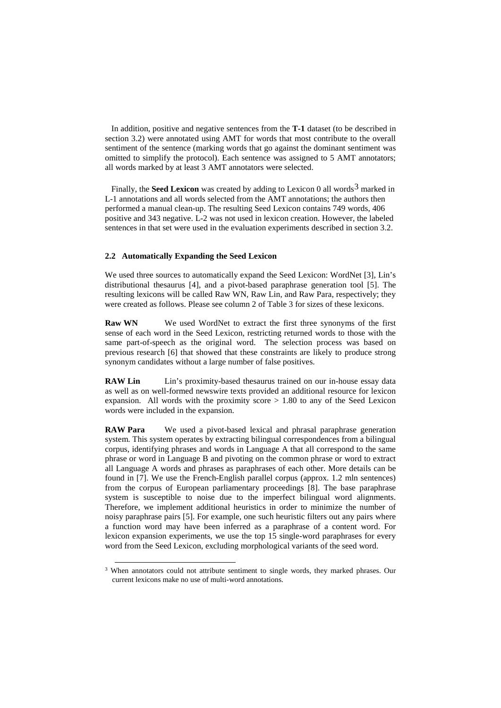In addition, positive and negative sentences from the **T-1** dataset (to be described in section 3.2) were annotated using AMT for words that most contribute to the overall sentiment of the sentence (marking words that go against the dominant sentiment was omitted to simplify the protocol). Each sentence was assigned to 5 AMT annotators; all words marked by at least 3 AMT annotators were selected.

Finally, the **Seed Lexicon** was created by adding to Lexicon 0 all words<sup>[3](#page-2-0)</sup> marked in L-1 annotations and all words selected from the AMT annotations; the authors then performed a manual clean-up. The resulting Seed Lexicon contains 749 words, 406 positive and 343 negative. L-2 was not used in lexicon creation. However, the labeled sentences in that set were used in the evaluation experiments described in section 3.2.

## **2.2 Automatically Expanding the Seed Lexicon**

We used three sources to automatically expand the Seed Lexicon: WordNet [3], Lin's distributional thesaurus [4], and a pivot-based paraphrase generation tool [5]. The resulting lexicons will be called Raw WN, Raw Lin, and Raw Para, respectively; they were created as follows. Please see column 2 of Table 3 for sizes of these lexicons.

**Raw WN** We used WordNet to extract the first three synonyms of the first sense of each word in the Seed Lexicon, restricting returned words to those with the same part-of-speech as the original word. The selection process was based on previous research [6] that showed that these constraints are likely to produce strong synonym candidates without a large number of false positives.

**RAW Lin** Lin's proximity-based thesaurus trained on our in-house essay data as well as on well-formed newswire texts provided an additional resource for lexicon expansion. All words with the proximity score  $> 1.80$  to any of the Seed Lexicon words were included in the expansion.

**RAW Para** We used a pivot-based lexical and phrasal paraphrase generation system. This system operates by extracting bilingual correspondences from a bilingual corpus, identifying phrases and words in Language A that all correspond to the same phrase or word in Language B and pivoting on the common phrase or word to extract all Language A words and phrases as paraphrases of each other. More details can be found in [7]. We use the French-English parallel corpus (approx. 1.2 mln sentences) from the corpus of European parliamentary proceedings [8]. The base paraphrase system is susceptible to noise due to the imperfect bilingual word alignments. Therefore, we implement additional heuristics in order to minimize the number of noisy paraphrase pairs [5]. For example, one such heuristic filters out any pairs where a function word may have been inferred as a paraphrase of a content word. For lexicon expansion experiments, we use the top 15 single-word paraphrases for every word from the Seed Lexicon, excluding morphological variants of the seed word.

<span id="page-2-0"></span><sup>&</sup>lt;sup>3</sup> When annotators could not attribute sentiment to single words, they marked phrases. Our current lexicons make no use of multi-word annotations.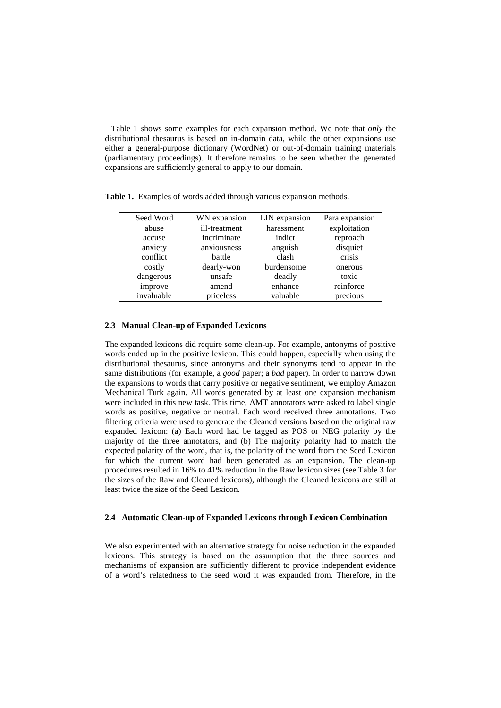Table 1 shows some examples for each expansion method. We note that *only* the distributional thesaurus is based on in-domain data, while the other expansions use either a general-purpose dictionary (WordNet) or out-of-domain training materials (parliamentary proceedings). It therefore remains to be seen whether the generated expansions are sufficiently general to apply to our domain.

| Seed Word  | WN expansion  | LIN expansion | Para expansion |
|------------|---------------|---------------|----------------|
| abuse      | ill-treatment | harassment    | exploitation   |
| accuse     | incriminate   | indict        | reproach       |
| anxiety    | anxiousness   | anguish       | disquiet       |
| conflict   | battle        | clash         | crisis         |
| costly     | dearly-won    | burdensome    | onerous        |
| dangerous  | unsafe        | deadly        | toxic          |
| improve    | amend         | enhance       | reinforce      |
| invaluable | priceless     | valuable      | precious       |

**Table 1.** Examples of words added through various expansion methods.

## **2.3 Manual Clean-up of Expanded Lexicons**

The expanded lexicons did require some clean-up. For example, antonyms of positive words ended up in the positive lexicon. This could happen, especially when using the distributional thesaurus, since antonyms and their synonyms tend to appear in the same distributions (for example, a *good* paper; a *bad* paper). In order to narrow down the expansions to words that carry positive or negative sentiment, we employ Amazon Mechanical Turk again. All words generated by at least one expansion mechanism were included in this new task. This time, AMT annotators were asked to label single words as positive, negative or neutral. Each word received three annotations. Two filtering criteria were used to generate the Cleaned versions based on the original raw expanded lexicon: (a) Each word had be tagged as POS or NEG polarity by the majority of the three annotators, and (b) The majority polarity had to match the expected polarity of the word, that is, the polarity of the word from the Seed Lexicon for which the current word had been generated as an expansion. The clean-up procedures resulted in 16% to 41% reduction in the Raw lexicon sizes (see Table 3 for the sizes of the Raw and Cleaned lexicons), although the Cleaned lexicons are still at least twice the size of the Seed Lexicon.

### **2.4 Automatic Clean-up of Expanded Lexicons through Lexicon Combination**

We also experimented with an alternative strategy for noise reduction in the expanded lexicons. This strategy is based on the assumption that the three sources and mechanisms of expansion are sufficiently different to provide independent evidence of a word's relatedness to the seed word it was expanded from. Therefore, in the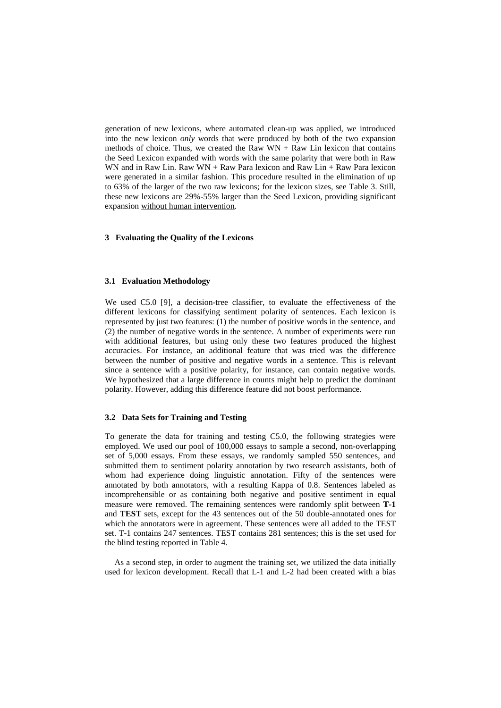generation of new lexicons, where automated clean-up was applied, we introduced into the new lexicon *only* words that were produced by both of the two expansion methods of choice. Thus, we created the Raw  $WN + Raw$  Lin lexicon that contains the Seed Lexicon expanded with words with the same polarity that were both in Raw WN and in Raw Lin. Raw WN + Raw Para lexicon and Raw Lin + Raw Para lexicon were generated in a similar fashion. This procedure resulted in the elimination of up to 63% of the larger of the two raw lexicons; for the lexicon sizes, see Table 3. Still, these new lexicons are 29%-55% larger than the Seed Lexicon, providing significant expansion without human intervention.

#### **3 Evaluating the Quality of the Lexicons**

# **3.1 Evaluation Methodology**

We used C5.0 [9], a decision-tree classifier, to evaluate the effectiveness of the different lexicons for classifying sentiment polarity of sentences. Each lexicon is represented by just two features: (1) the number of positive words in the sentence, and (2) the number of negative words in the sentence. A number of experiments were run with additional features, but using only these two features produced the highest accuracies. For instance, an additional feature that was tried was the difference between the number of positive and negative words in a sentence. This is relevant since a sentence with a positive polarity, for instance, can contain negative words. We hypothesized that a large difference in counts might help to predict the dominant polarity. However, adding this difference feature did not boost performance.

# **3.2 Data Sets for Training and Testing**

To generate the data for training and testing C5.0, the following strategies were employed. We used our pool of 100,000 essays to sample a second, non-overlapping set of 5,000 essays. From these essays, we randomly sampled 550 sentences, and submitted them to sentiment polarity annotation by two research assistants, both of whom had experience doing linguistic annotation. Fifty of the sentences were annotated by both annotators, with a resulting Kappa of 0.8. Sentences labeled as incomprehensible or as containing both negative and positive sentiment in equal measure were removed. The remaining sentences were randomly split between **T-1** and **TEST** sets, except for the 43 sentences out of the 50 double-annotated ones for which the annotators were in agreement. These sentences were all added to the TEST set. T-1 contains 247 sentences. TEST contains 281 sentences; this is the set used for the blind testing reported in Table 4.

As a second step, in order to augment the training set, we utilized the data initially used for lexicon development. Recall that L-1 and L-2 had been created with a bias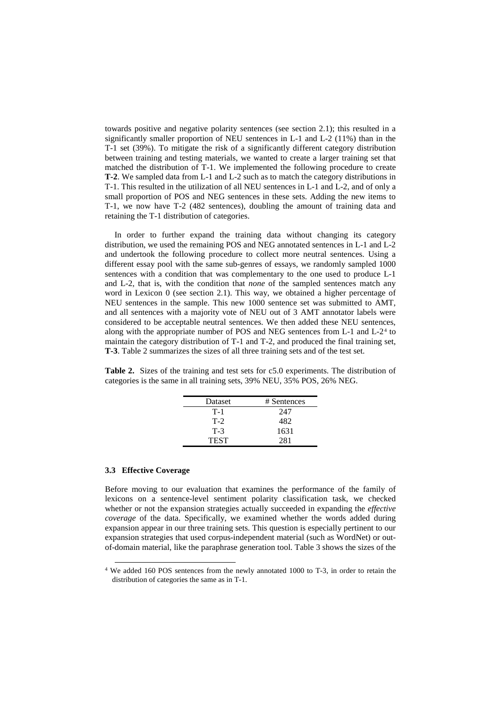towards positive and negative polarity sentences (see section 2.1); this resulted in a significantly smaller proportion of NEU sentences in L-1 and L-2 (11%) than in the T-1 set (39%). To mitigate the risk of a significantly different category distribution between training and testing materials, we wanted to create a larger training set that matched the distribution of T-1. We implemented the following procedure to create **T-2**. We sampled data from L-1 and L-2 such as to match the category distributions in T-1. This resulted in the utilization of all NEU sentences in L-1 and L-2, and of only a small proportion of POS and NEG sentences in these sets. Adding the new items to T-1, we now have T-2 (482 sentences), doubling the amount of training data and retaining the T-1 distribution of categories.

In order to further expand the training data without changing its category distribution, we used the remaining POS and NEG annotated sentences in L-1 and L-2 and undertook the following procedure to collect more neutral sentences. Using a different essay pool with the same sub-genres of essays, we randomly sampled 1000 sentences with a condition that was complementary to the one used to produce L-1 and L-2, that is, with the condition that *none* of the sampled sentences match any word in Lexicon 0 (see section 2.1). This way, we obtained a higher percentage of NEU sentences in the sample. This new 1000 sentence set was submitted to AMT, and all sentences with a majority vote of NEU out of 3 AMT annotator labels were considered to be acceptable neutral sentences. We then added these NEU sentences, along with the appropriate number of POS and NEG sentences from  $L-1$  and  $L-2<sup>4</sup>$  $L-2<sup>4</sup>$  $L-2<sup>4</sup>$  to maintain the category distribution of T-1 and T-2, and produced the final training set, **T-3**. Table 2 summarizes the sizes of all three training sets and of the test set.

**Table 2.** Sizes of the training and test sets for c5.0 experiments. The distribution of categories is the same in all training sets, 39% NEU, 35% POS, 26% NEG.

| Dataset     | # Sentences |
|-------------|-------------|
| $T-1$       | 247         |
| $T-2$       | 482         |
| $T-3$       | 1631        |
| <b>TEST</b> | 281         |

## **3.3 Effective Coverage**

Before moving to our evaluation that examines the performance of the family of lexicons on a sentence-level sentiment polarity classification task, we checked whether or not the expansion strategies actually succeeded in expanding the *effective coverage* of the data. Specifically, we examined whether the words added during expansion appear in our three training sets. This question is especially pertinent to our expansion strategies that used corpus-independent material (such as WordNet) or outof-domain material, like the paraphrase generation tool. Table 3 shows the sizes of the

<span id="page-5-0"></span> <sup>4</sup> We added 160 POS sentences from the newly annotated 1000 to T-3, in order to retain the distribution of categories the same as in T-1.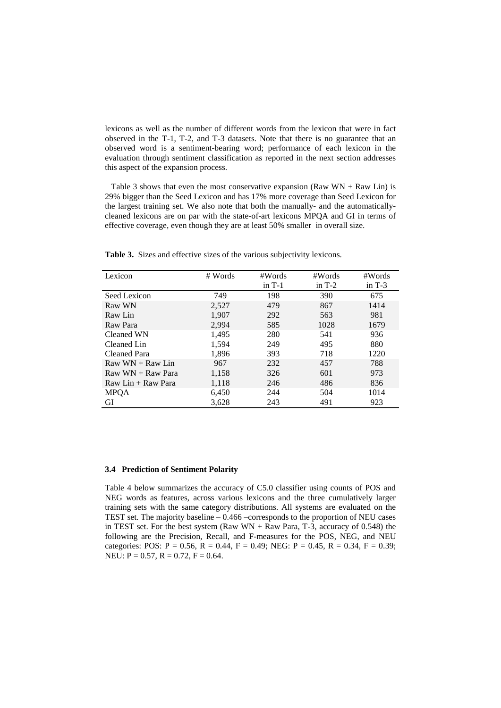lexicons as well as the number of different words from the lexicon that were in fact observed in the T-1, T-2, and T-3 datasets. Note that there is no guarantee that an observed word is a sentiment-bearing word; performance of each lexicon in the evaluation through sentiment classification as reported in the next section addresses this aspect of the expansion process.

Table 3 shows that even the most conservative expansion (Raw  $WN + Raw Lin$ ) is 29% bigger than the Seed Lexicon and has 17% more coverage than Seed Lexicon for the largest training set. We also note that both the manually- and the automaticallycleaned lexicons are on par with the state-of-art lexicons MPQA and GI in terms of effective coverage, even though they are at least 50% smaller in overall size.

| Lexicon             | # Words | #Words   | #Words   | #Words   |
|---------------------|---------|----------|----------|----------|
|                     |         | $in T-1$ | in $T-2$ | in $T-3$ |
| Seed Lexicon        | 749     | 198      | 390      | 675      |
| Raw WN              | 2,527   | 479      | 867      | 1414     |
| Raw Lin             | 1,907   | 292      | 563      | 981      |
| Raw Para            | 2,994   | 585      | 1028     | 1679     |
| Cleaned WN          | 1,495   | 280      | 541      | 936      |
| Cleaned Lin         | 1,594   | 249      | 495      | 880      |
| Cleaned Para        | 1,896   | 393      | 718      | 1220     |
| $Raw$ WN + Raw Lin  | 967     | 232      | 457      | 788      |
| $Raw$ WN + Raw Para | 1,158   | 326      | 601      | 973      |
| Raw Lin + Raw Para  | 1,118   | 246      | 486      | 836      |
| <b>MPQA</b>         | 6,450   | 244      | 504      | 1014     |
| GI                  | 3,628   | 243      | 491      | 923      |

**Table 3.** Sizes and effective sizes of the various subjectivity lexicons.

### **3.4 Prediction of Sentiment Polarity**

Table 4 below summarizes the accuracy of C5.0 classifier using counts of POS and NEG words as features, across various lexicons and the three cumulatively larger training sets with the same category distributions. All systems are evaluated on the TEST set. The majority baseline – 0.466 –corresponds to the proportion of NEU cases in TEST set. For the best system (Raw WN + Raw Para, T-3, accuracy of 0.548) the following are the Precision, Recall, and F-measures for the POS, NEG, and NEU categories: POS: P = 0.56, R = 0.44, F = 0.49; NEG: P = 0.45, R = 0.34, F = 0.39; NEU:  $P = 0.57$ ,  $R = 0.72$ ,  $F = 0.64$ .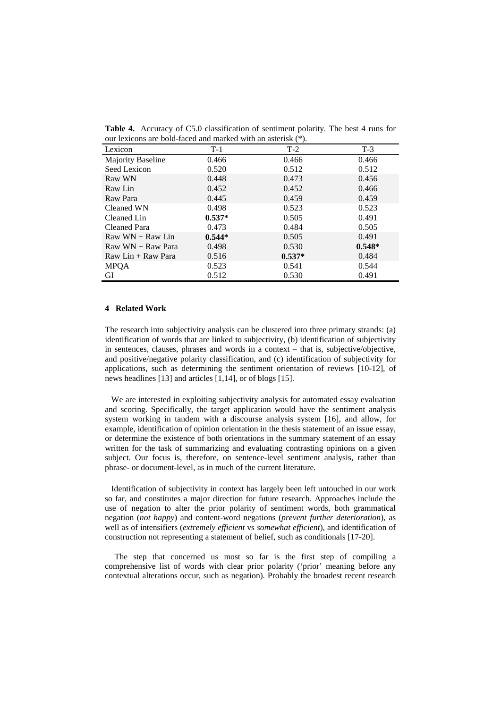| $\alpha$ revisions are bord faced and marked with an asterior $\gamma$ . |          |          |          |  |  |  |
|--------------------------------------------------------------------------|----------|----------|----------|--|--|--|
| Lexicon                                                                  | $T-1$    | $T-2$    | $T-3$    |  |  |  |
| <b>Majority Baseline</b>                                                 | 0.466    | 0.466    | 0.466    |  |  |  |
| Seed Lexicon                                                             | 0.520    | 0.512    | 0.512    |  |  |  |
| Raw WN                                                                   | 0.448    | 0.473    | 0.456    |  |  |  |
| Raw Lin                                                                  | 0.452    | 0.452    | 0.466    |  |  |  |
| Raw Para                                                                 | 0.445    | 0.459    | 0.459    |  |  |  |
| Cleaned WN                                                               | 0.498    | 0.523    | 0.523    |  |  |  |
| Cleaned Lin                                                              | $0.537*$ | 0.505    | 0.491    |  |  |  |
| Cleaned Para                                                             | 0.473    | 0.484    | 0.505    |  |  |  |
| $Raw$ WN + Raw Lin                                                       | $0.544*$ | 0.505    | 0.491    |  |  |  |
| Raw WN + Raw Para                                                        | 0.498    | 0.530    | $0.548*$ |  |  |  |
| Raw Lin + Raw Para                                                       | 0.516    | $0.537*$ | 0.484    |  |  |  |
| <b>MPQA</b>                                                              | 0.523    | 0.541    | 0.544    |  |  |  |
| GI                                                                       | 0.512    | 0.530    | 0.491    |  |  |  |

**Table 4.** Accuracy of C5.0 classification of sentiment polarity. The best 4 runs for our lexicons are bold-faced and marked with an asterisk (\*).

## **4 Related Work**

The research into subjectivity analysis can be clustered into three primary strands: (a) identification of words that are linked to subjectivity, (b) identification of subjectivity in sentences, clauses, phrases and words in a context – that is, subjective/objective, and positive/negative polarity classification, and (c) identification of subjectivity for applications, such as determining the sentiment orientation of reviews [10-12], of news headlines [13] and articles [1,14], or of blogs [15].

 We are interested in exploiting subjectivity analysis for automated essay evaluation and scoring. Specifically, the target application would have the sentiment analysis system working in tandem with a discourse analysis system [16], and allow, for example, identification of opinion orientation in the thesis statement of an issue essay, or determine the existence of both orientations in the summary statement of an essay written for the task of summarizing and evaluating contrasting opinions on a given subject. Our focus is, therefore, on sentence-level sentiment analysis, rather than phrase- or document-level, as in much of the current literature.

 Identification of subjectivity in context has largely been left untouched in our work so far, and constitutes a major direction for future research. Approaches include the use of negation to alter the prior polarity of sentiment words, both grammatical negation (*not happy*) and content-word negations (*prevent further deterioration*), as well as of intensifiers (*extremely efficient* vs *somewhat efficient*), and identification of construction not representing a statement of belief, such as conditionals [17-20].

The step that concerned us most so far is the first step of compiling a comprehensive list of words with clear prior polarity ('prior' meaning before any contextual alterations occur, such as negation). Probably the broadest recent research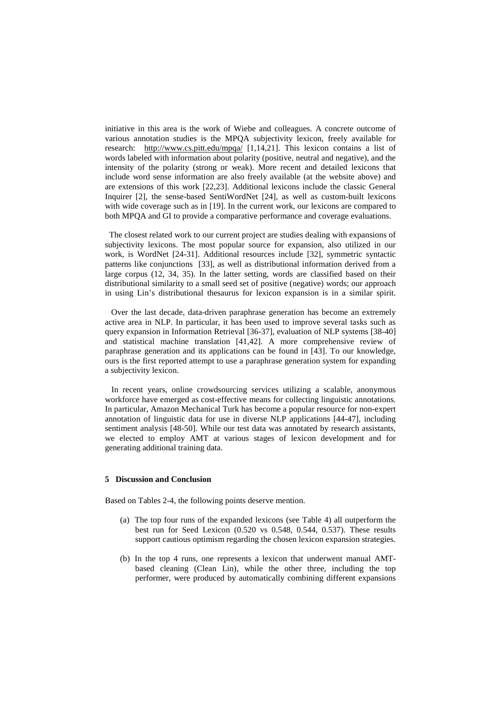initiative in this area is the work of Wiebe and colleagues. A concrete outcome of various annotation studies is the MPQA subjectivity lexicon, freely available for research: <http://www.cs.pitt.edu/mpqa/> [1,14,21]. This lexicon contains a list of words labeled with information about polarity (positive, neutral and negative), and the intensity of the polarity (strong or weak). More recent and detailed lexicons that include word sense information are also freely available (at the website above) and are extensions of this work [22,23]. Additional lexicons include the classic General Inquirer [2], the sense-based SentiWordNet [24], as well as custom-built lexicons with wide coverage such as in [19]. In the current work, our lexicons are compared to both MPQA and GI to provide a comparative performance and coverage evaluations.

 The closest related work to our current project are studies dealing with expansions of subjectivity lexicons. The most popular source for expansion, also utilized in our work, is WordNet [24-31]. Additional resources include [32], symmetric syntactic patterns like conjunctions [33], as well as distributional information derived from a large corpus (12, 34, 35). In the latter setting, words are classified based on their distributional similarity to a small seed set of positive (negative) words; our approach in using Lin's distributional thesaurus for lexicon expansion is in a similar spirit.

 Over the last decade, data-driven paraphrase generation has become an extremely active area in NLP. In particular, it has been used to improve several tasks such as query expansion in Information Retrieval [36-37], evaluation of NLP systems [38-40] and statistical machine translation [41,42]. A more comprehensive review of paraphrase generation and its applications can be found in [43]. To our knowledge, ours is the first reported attempt to use a paraphrase generation system for expanding a subjectivity lexicon.

 In recent years, online crowdsourcing services utilizing a scalable, anonymous workforce have emerged as cost-effective means for collecting linguistic annotations. In particular, Amazon Mechanical Turk has become a popular resource for non-expert annotation of linguistic data for use in diverse NLP applications [44-47], including sentiment analysis [48-50]. While our test data was annotated by research assistants, we elected to employ AMT at various stages of lexicon development and for generating additional training data.

### **5 Discussion and Conclusion**

Based on Tables 2-4, the following points deserve mention.

- (a) The top four runs of the expanded lexicons (see Table 4) all outperform the best run for Seed Lexicon (0.520 vs 0.548, 0.544, 0.537). These results support cautious optimism regarding the chosen lexicon expansion strategies.
- (b) In the top 4 runs, one represents a lexicon that underwent manual AMTbased cleaning (Clean Lin), while the other three, including the top performer, were produced by automatically combining different expansions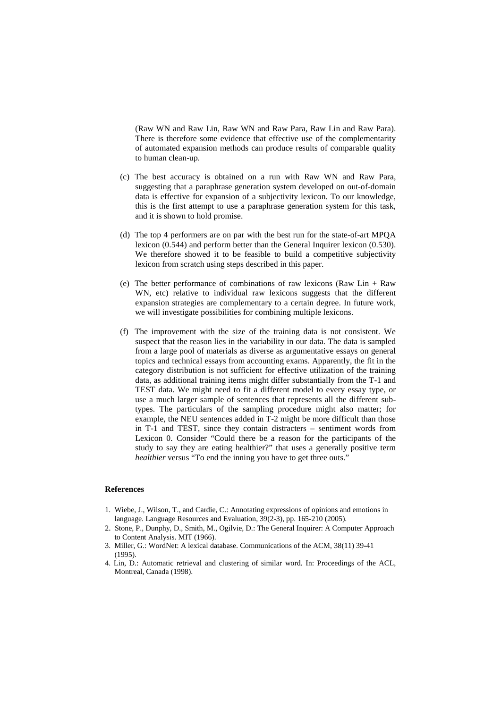(Raw WN and Raw Lin, Raw WN and Raw Para, Raw Lin and Raw Para). There is therefore some evidence that effective use of the complementarity of automated expansion methods can produce results of comparable quality to human clean-up.

- (c) The best accuracy is obtained on a run with Raw WN and Raw Para, suggesting that a paraphrase generation system developed on out-of-domain data is effective for expansion of a subjectivity lexicon. To our knowledge, this is the first attempt to use a paraphrase generation system for this task, and it is shown to hold promise.
- (d) The top 4 performers are on par with the best run for the state-of-art MPQA lexicon (0.544) and perform better than the General Inquirer lexicon (0.530). We therefore showed it to be feasible to build a competitive subjectivity lexicon from scratch using steps described in this paper.
- (e) The better performance of combinations of raw lexicons (Raw Lin + Raw WN, etc) relative to individual raw lexicons suggests that the different expansion strategies are complementary to a certain degree. In future work, we will investigate possibilities for combining multiple lexicons.
- (f) The improvement with the size of the training data is not consistent. We suspect that the reason lies in the variability in our data. The data is sampled from a large pool of materials as diverse as argumentative essays on general topics and technical essays from accounting exams. Apparently, the fit in the category distribution is not sufficient for effective utilization of the training data, as additional training items might differ substantially from the T-1 and TEST data. We might need to fit a different model to every essay type, or use a much larger sample of sentences that represents all the different subtypes. The particulars of the sampling procedure might also matter; for example, the NEU sentences added in T-2 might be more difficult than those in T-1 and TEST, since they contain distracters – sentiment words from Lexicon 0. Consider "Could there be a reason for the participants of the study to say they are eating healthier?" that uses a generally positive term *healthier* versus "To end the inning you have to get three outs."

### **References**

- 1. Wiebe, J., Wilson, T., and Cardie, C.[: Annotating expressions of opinions and emotions in](http://www.cs.pitt.edu/~wiebe/pubs/papers/lre05.pdf)   [language. L](http://www.cs.pitt.edu/~wiebe/pubs/papers/lre05.pdf)anguage Resources and Evaluation, 39(2-3), pp. 165-210 (2005).
- 2. Stone, P., Dunphy, D., Smith, M., Ogilvie, D.: The General Inquirer: A Computer Approach to Content Analysis. MIT (1966).
- 3. Miller, G.: WordNet: A lexical database. Communications of the ACM, 38(11) 39-41 (1995).
- 4. Lin, D.: Automatic retrieval and clustering of similar word. In: Proceedings of the ACL, Montreal, Canada (1998).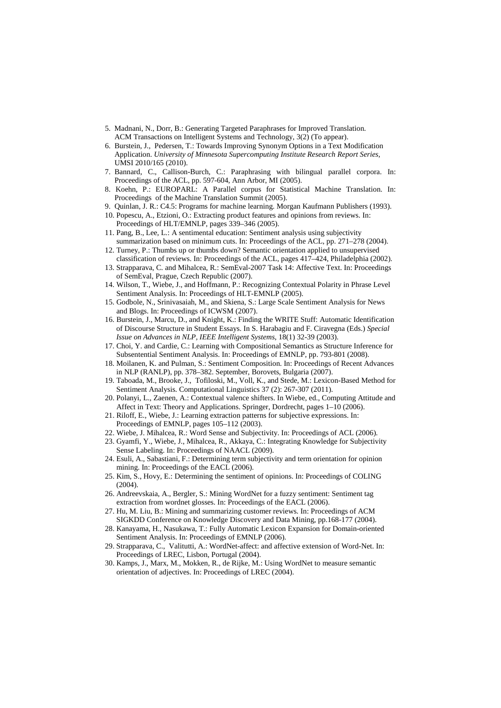- 5. Madnani, N., Dorr, B.: Generating Targeted Paraphrases for Improved Translation. ACM Transactions on Intelligent Systems and Technology, 3(2) (To appear).
- 6. Burstein, J., Pedersen, T.: Towards Improving Synonym Options in a Text Modification Application. *University of Minnesota Supercomputing Institute Research Report Series,* UMSI 2010/165 (2010).
- 7. Bannard, C., Callison-Burch, C.: Paraphrasing with bilingual parallel corpora. In: Proceedings of the ACL, pp. 597-604, Ann Arbor, MI (2005).
- 8. Koehn, P.: EUROPARL: A Parallel corpus for Statistical Machine Translation. In: Proceedings of the Machine Translation Summit (2005).
- 9. Quinlan, J. R.: C4.5: Programs for machine learning. Morgan Kaufmann Publishers (1993).
- 10. Popescu, A., Etzioni, O.: Extracting product features and opinions from reviews. In: Proceedings of HLT/EMNLP, pages 339–346 (2005).
- 11. Pang, B., Lee, L.: A sentimental education: Sentiment analysis using subjectivity summarization based on minimum cuts. In: Proceedings of the ACL, pp. 271–278 (2004).
- 12. Turney, P.: Thumbs up or thumbs down? Semantic orientation applied to unsupervised classification of reviews. In: Proceedings of the ACL, pages 417–424, Philadelphia (2002).
- 13. Strapparava, C. and Mihalcea, R.: SemEval-2007 Task 14: Affective Text. In: Proceedings of SemEval, Prague, Czech Republic (2007).
- 14. Wilson, T., Wiebe, J., and Hoffmann, P.: [Recognizing Contextual Polarity in Phrase](http://www.cs.pitt.edu/~wiebe/pubs/papers/emnlp05polarity.pdf) Level  [Sentiment Analysis. I](http://www.cs.pitt.edu/~wiebe/pubs/papers/emnlp05polarity.pdf)n: Proceedings of HLT-EMNLP (2005).
- 15. Godbole, N., Srinivasaiah, M., and Skiena, S.: Large Scale Sentiment Analysis for News and Blogs. In: Proceedings of ICWSM (2007).
- 16. Burstein, J., Marcu, D., and Knight, K.: Finding the WRITE Stuff: Automatic Identification of Discourse Structure in Student Essays. In S. Harabagiu and F. Ciravegna (Eds.) *Special Issue on Advances in NLP, IEEE Intelligent Systems*, 18(1) 32-39 (2003).
- 17. Choi, Y. and Cardie, C.: Learning with Compositional Semantics as Structure Inference for Subsentential Sentiment Analysis. In: Proceedings of EMNLP, pp. 793-801 (2008).
- 18. Moilanen, K. and Pulman, S.: Sentiment Composition. In: Proceedings of Recent Advances in NLP (RANLP), pp. 378–382. September, Borovets, Bulgaria (2007).
- 19. Taboada, M., Brooke, J., Tofiloski, M., Voll, K., and Stede, M.[: Lexicon-Based Method](http://www.sfu.ca/~mtaboada/docs/Taboada_etal_SO-CAL.pdf) for  [Sentiment Analysis.](http://www.sfu.ca/~mtaboada/docs/Taboada_etal_SO-CAL.pdf) [Computational Linguistics](http://www.mitpressjournals.org/loi/coli) 37 (2): 267-307 (2011).
- 20. Polanyi, L., Zaenen, A.: Contextual valence shifters. In Wiebe, ed., Computing Attitude and Affect in Text: Theory and Applications. Springer, Dordrecht, pages 1–10 (2006).
- 21. Riloff, E., Wiebe, J.: Learning extraction patterns for subjective expressions. In: Proceedings of EMNLP, pages 105–112 (2003).
- 22. Wiebe, J. Mihalcea, R.: Word Sense and Subjectivity. In: Proceedings of ACL (2006).
- 23. Gyamfi, Y., Wiebe, J., Mihalcea, R., Akkaya, C.: Integrating Knowledge for Subjectivity Sense Labeling. In: Proceedings of NAACL (2009).
- 24. Esuli, A., Sabastiani, F.: Determining term subjectivity and term orientation for opinion mining. In: Proceedings of the EACL (2006).
- 25. Kim, S., Hovy, E.: Determining the sentiment of opinions. In: Proceedings of COLING (2004).
- 26. Andreevskaia, A., Bergler, S.: Mining WordNet for a fuzzy sentiment: Sentiment tag extraction from wordnet glosses. In: Proceedings of the EACL (2006).
- 27. Hu, M. Liu, B.: Mining and summarizing customer reviews. In: Proceedings of ACM SIGKDD Conference on Knowledge Discovery and Data Mining, pp.168-177 (2004).
- 28. Kanayama, H., Nasukawa, T.: Fully Automatic Lexicon Expansion for Domain-oriented Sentiment Analysis. In: Proceedings of EMNLP (2006).
- 29. Strapparava, C., Valitutti, A.: WordNet-affect: and affective extension of Word-Net. In: Proceedings of LREC, Lisbon, Portugal (2004).
- 30. Kamps, J., Marx, M., Mokken, R., de Rijke, M.: Using WordNet to measure semantic orientation of adjectives. In: Proceedings of LREC (2004).